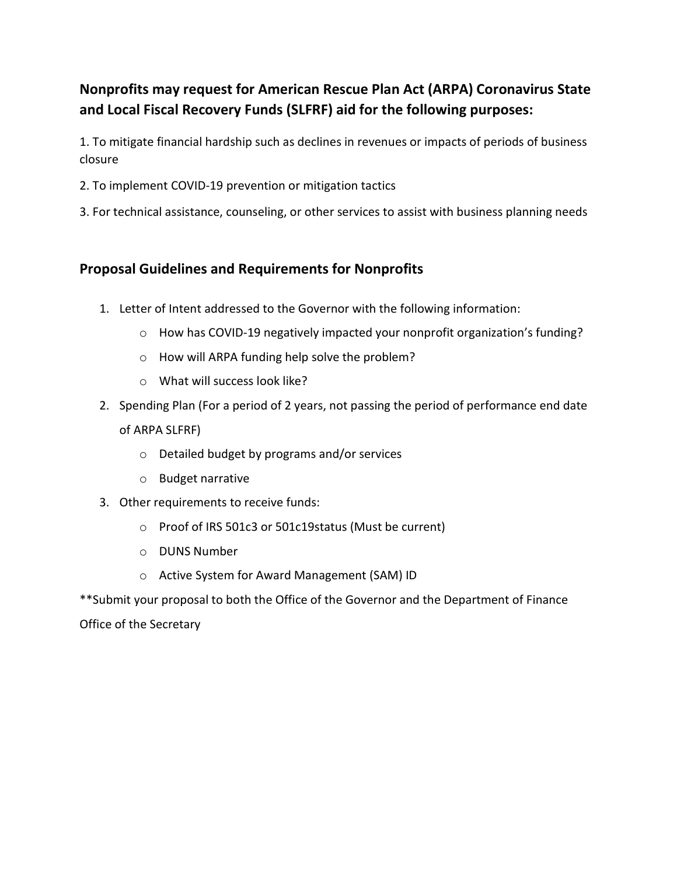## Nonprofits may request for American Rescue Plan Act (ARPA) Coronavirus State and Local Fiscal Recovery Funds (SLFRF) aid for the following purposes:

1. To mitigate financial hardship such as declines in revenues or impacts of periods of business closure

- 2. To implement COVID-19 prevention or mitigation tactics
- 3. For technical assistance, counseling, or other services to assist with business planning needs

## Proposal Guidelines and Requirements for Nonprofits

- 1. Letter of Intent addressed to the Governor with the following information:
	- o How has COVID-19 negatively impacted your nonprofit organization's funding?
	- o How will ARPA funding help solve the problem?
	- o What will success look like?
- 2. Spending Plan (For a period of 2 years, not passing the period of performance end date of ARPA SLFRF)
	- o Detailed budget by programs and/or services
	- o Budget narrative
- 3. Other requirements to receive funds:
	- o Proof of IRS 501c3 or 501c19status (Must be current)
	- o DUNS Number
	- o Active System for Award Management (SAM) ID

\*\*Submit your proposal to both the Office of the Governor and the Department of Finance Office of the Secretary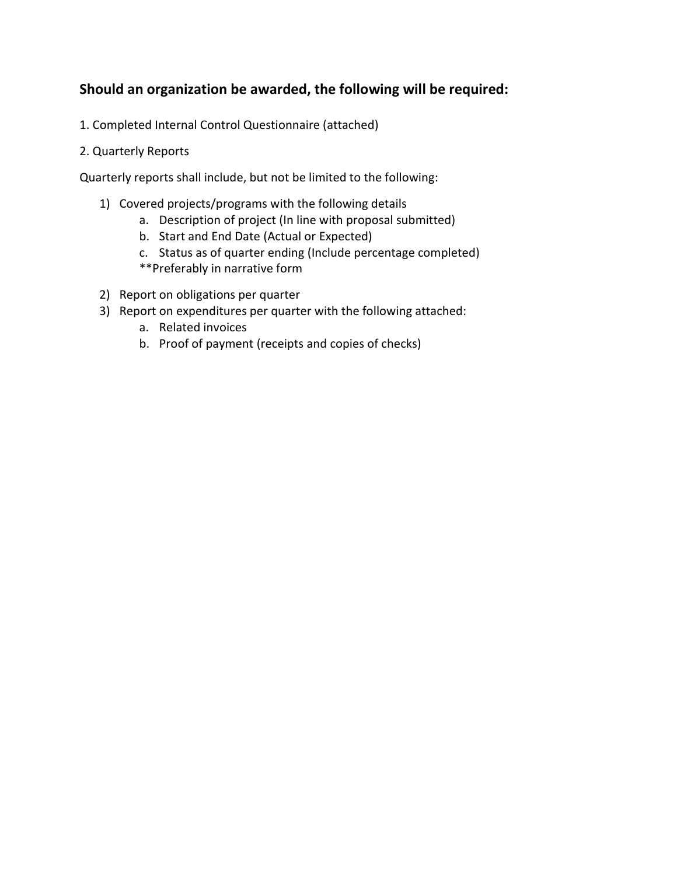## Should an organization be awarded, the following will be required:

- 1. Completed Internal Control Questionnaire (attached)
- 2. Quarterly Reports

Quarterly reports shall include, but not be limited to the following:

- 1) Covered projects/programs with the following details
	- a. Description of project (In line with proposal submitted)
	- b. Start and End Date (Actual or Expected)
	- c. Status as of quarter ending (Include percentage completed)
	- \*\*Preferably in narrative form
- 2) Report on obligations per quarter
- 3) Report on expenditures per quarter with the following attached:
	- a. Related invoices
	- b. Proof of payment (receipts and copies of checks)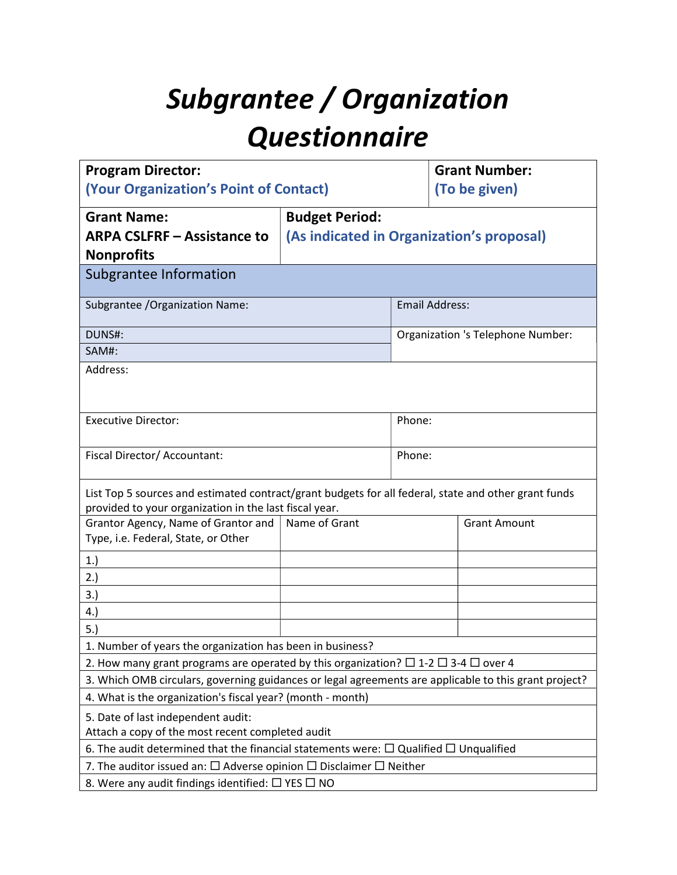## Subgrantee / Organization Questionnaire

| <b>Program Director:</b>                                                                                                                                       |                                           |                       | <b>Grant Number:</b>              |  |
|----------------------------------------------------------------------------------------------------------------------------------------------------------------|-------------------------------------------|-----------------------|-----------------------------------|--|
| (Your Organization's Point of Contact)                                                                                                                         |                                           |                       | (To be given)                     |  |
| <b>Grant Name:</b>                                                                                                                                             | <b>Budget Period:</b>                     |                       |                                   |  |
| <b>ARPA CSLFRF - Assistance to</b>                                                                                                                             | (As indicated in Organization's proposal) |                       |                                   |  |
| <b>Nonprofits</b>                                                                                                                                              |                                           |                       |                                   |  |
| Subgrantee Information                                                                                                                                         |                                           |                       |                                   |  |
| Subgrantee / Organization Name:                                                                                                                                |                                           | <b>Email Address:</b> |                                   |  |
| DUNS#:                                                                                                                                                         |                                           |                       | Organization 's Telephone Number: |  |
| SAM#:                                                                                                                                                          |                                           |                       |                                   |  |
| Address:                                                                                                                                                       |                                           |                       |                                   |  |
| <b>Executive Director:</b>                                                                                                                                     |                                           | Phone:                |                                   |  |
| Fiscal Director/ Accountant:                                                                                                                                   |                                           | Phone:                |                                   |  |
| List Top 5 sources and estimated contract/grant budgets for all federal, state and other grant funds<br>provided to your organization in the last fiscal year. |                                           |                       |                                   |  |
| Grantor Agency, Name of Grantor and<br>Type, i.e. Federal, State, or Other                                                                                     | Name of Grant<br><b>Grant Amount</b>      |                       |                                   |  |
| 1.)                                                                                                                                                            |                                           |                       |                                   |  |
| 2.)                                                                                                                                                            |                                           |                       |                                   |  |
| 3.                                                                                                                                                             |                                           |                       |                                   |  |
| 4.)                                                                                                                                                            |                                           |                       |                                   |  |
| 5.                                                                                                                                                             |                                           |                       |                                   |  |
| 1. Number of years the organization has been in business?                                                                                                      |                                           |                       |                                   |  |
| 2. How many grant programs are operated by this organization? $\Box$ 1-2 $\Box$ 3-4 $\Box$ over 4                                                              |                                           |                       |                                   |  |
| 3. Which OMB circulars, governing guidances or legal agreements are applicable to this grant project?                                                          |                                           |                       |                                   |  |
| 4. What is the organization's fiscal year? (month - month)                                                                                                     |                                           |                       |                                   |  |
| 5. Date of last independent audit:<br>Attach a copy of the most recent completed audit                                                                         |                                           |                       |                                   |  |
| 6. The audit determined that the financial statements were: $\Box$ Qualified $\Box$ Unqualified                                                                |                                           |                       |                                   |  |
| 7. The auditor issued an: $\Box$ Adverse opinion $\Box$ Disclaimer $\Box$ Neither                                                                              |                                           |                       |                                   |  |
| 8. Were any audit findings identified: $\Box$ YES $\Box$ NO                                                                                                    |                                           |                       |                                   |  |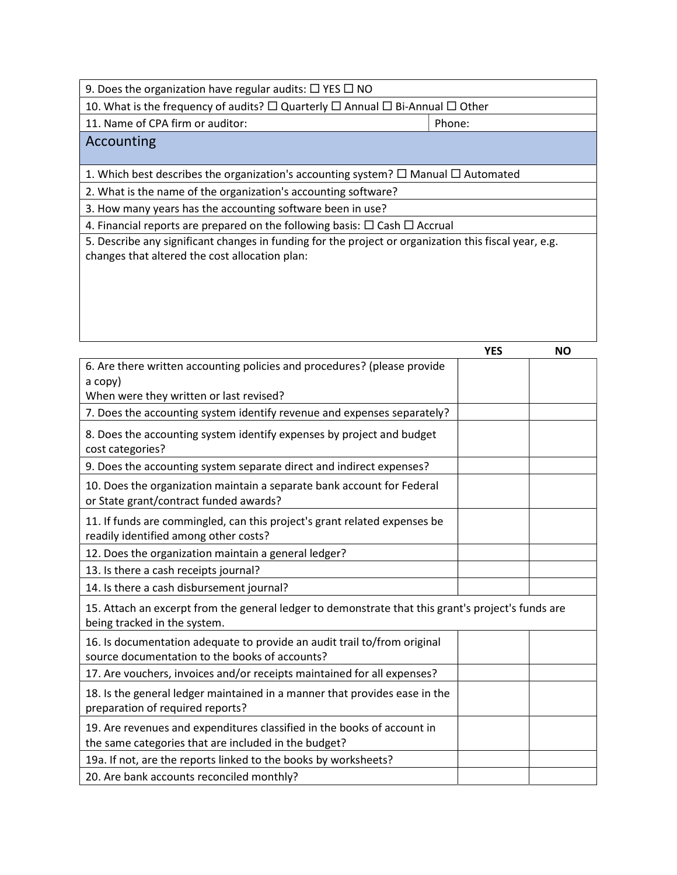9. Does the organization have regular audits:  $\Box$  YES  $\Box$  NO

10. What is the frequency of audits?  $\Box$  Quarterly  $\Box$  Annual  $\Box$  Bi-Annual  $\Box$  Other

11. Name of CPA firm or auditor: Phone: Phone:

Accounting

1. Which best describes the organization's accounting system?  $\Box$  Manual  $\Box$  Automated

2. What is the name of the organization's accounting software?

3. How many years has the accounting software been in use?

4. Financial reports are prepared on the following basis:  $\Box$  Cash  $\Box$  Accrual

5. Describe any significant changes in funding for the project or organization this fiscal year, e.g. changes that altered the cost allocation plan:

|                                                                                                                                    | <b>YES</b> | <b>NO</b> |
|------------------------------------------------------------------------------------------------------------------------------------|------------|-----------|
| 6. Are there written accounting policies and procedures? (please provide                                                           |            |           |
| a copy)                                                                                                                            |            |           |
| When were they written or last revised?                                                                                            |            |           |
| 7. Does the accounting system identify revenue and expenses separately?                                                            |            |           |
| 8. Does the accounting system identify expenses by project and budget<br>cost categories?                                          |            |           |
| 9. Does the accounting system separate direct and indirect expenses?                                                               |            |           |
| 10. Does the organization maintain a separate bank account for Federal<br>or State grant/contract funded awards?                   |            |           |
| 11. If funds are commingled, can this project's grant related expenses be<br>readily identified among other costs?                 |            |           |
| 12. Does the organization maintain a general ledger?                                                                               |            |           |
| 13. Is there a cash receipts journal?                                                                                              |            |           |
| 14. Is there a cash disbursement journal?                                                                                          |            |           |
| 15. Attach an excerpt from the general ledger to demonstrate that this grant's project's funds are<br>being tracked in the system. |            |           |
| 16. Is documentation adequate to provide an audit trail to/from original<br>source documentation to the books of accounts?         |            |           |
| 17. Are vouchers, invoices and/or receipts maintained for all expenses?                                                            |            |           |
| 18. Is the general ledger maintained in a manner that provides ease in the<br>preparation of required reports?                     |            |           |
| 19. Are revenues and expenditures classified in the books of account in<br>the same categories that are included in the budget?    |            |           |
| 19a. If not, are the reports linked to the books by worksheets?                                                                    |            |           |
| 20. Are bank accounts reconciled monthly?                                                                                          |            |           |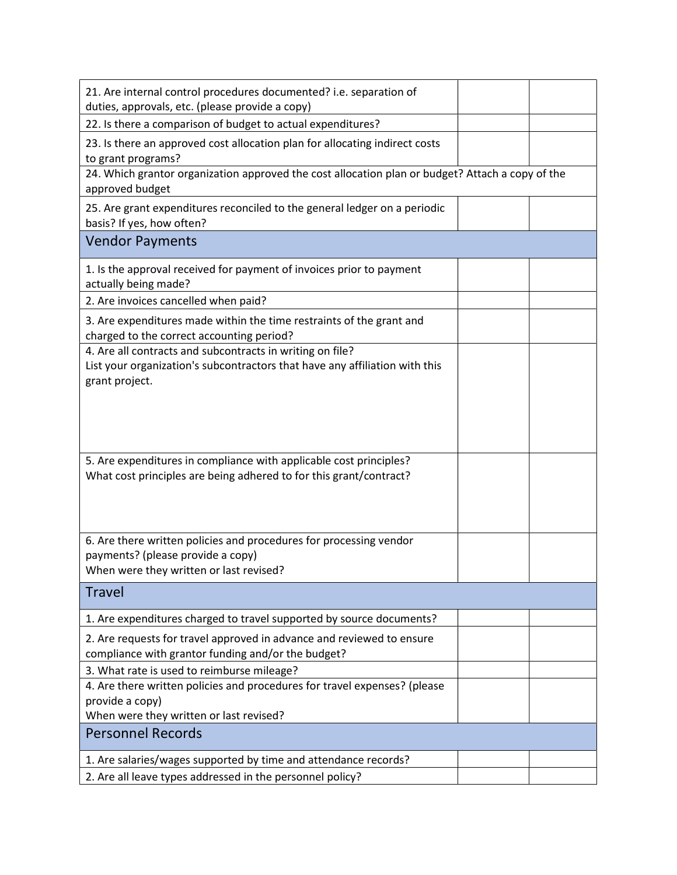| 21. Are internal control procedures documented? i.e. separation of<br>duties, approvals, etc. (please provide a copy)                                      |  |
|------------------------------------------------------------------------------------------------------------------------------------------------------------|--|
| 22. Is there a comparison of budget to actual expenditures?                                                                                                |  |
| 23. Is there an approved cost allocation plan for allocating indirect costs<br>to grant programs?                                                          |  |
| 24. Which grantor organization approved the cost allocation plan or budget? Attach a copy of the<br>approved budget                                        |  |
| 25. Are grant expenditures reconciled to the general ledger on a periodic<br>basis? If yes, how often?                                                     |  |
| <b>Vendor Payments</b>                                                                                                                                     |  |
| 1. Is the approval received for payment of invoices prior to payment<br>actually being made?                                                               |  |
| 2. Are invoices cancelled when paid?                                                                                                                       |  |
| 3. Are expenditures made within the time restraints of the grant and<br>charged to the correct accounting period?                                          |  |
| 4. Are all contracts and subcontracts in writing on file?<br>List your organization's subcontractors that have any affiliation with this<br>grant project. |  |
|                                                                                                                                                            |  |
| 5. Are expenditures in compliance with applicable cost principles?<br>What cost principles are being adhered to for this grant/contract?                   |  |
| 6. Are there written policies and procedures for processing vendor<br>payments? (please provide a copy)<br>When were they written or last revised?         |  |
| <b>Travel</b>                                                                                                                                              |  |
| 1. Are expenditures charged to travel supported by source documents?                                                                                       |  |
| 2. Are requests for travel approved in advance and reviewed to ensure<br>compliance with grantor funding and/or the budget?                                |  |
| 3. What rate is used to reimburse mileage?                                                                                                                 |  |
| 4. Are there written policies and procedures for travel expenses? (please<br>provide a copy)                                                               |  |
| When were they written or last revised?                                                                                                                    |  |
| <b>Personnel Records</b>                                                                                                                                   |  |
| 1. Are salaries/wages supported by time and attendance records?                                                                                            |  |
| 2. Are all leave types addressed in the personnel policy?                                                                                                  |  |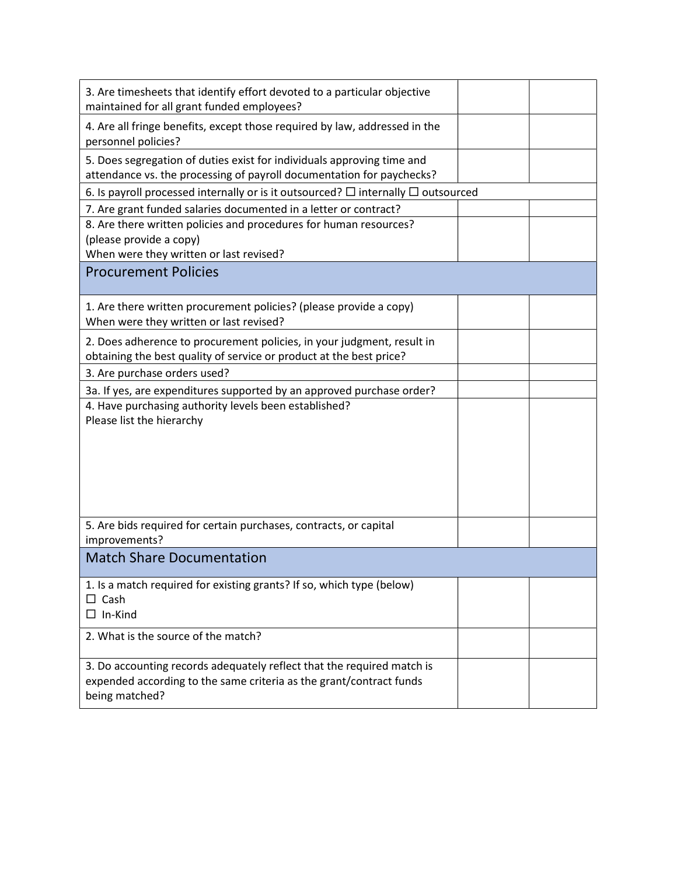| 3. Are timesheets that identify effort devoted to a particular objective<br>maintained for all grant funded employees?                          |  |
|-------------------------------------------------------------------------------------------------------------------------------------------------|--|
| 4. Are all fringe benefits, except those required by law, addressed in the<br>personnel policies?                                               |  |
| 5. Does segregation of duties exist for individuals approving time and<br>attendance vs. the processing of payroll documentation for paychecks? |  |
| 6. Is payroll processed internally or is it outsourced? $\Box$ internally $\Box$ outsourced                                                     |  |
| 7. Are grant funded salaries documented in a letter or contract?                                                                                |  |
| 8. Are there written policies and procedures for human resources?<br>(please provide a copy)<br>When were they written or last revised?         |  |
|                                                                                                                                                 |  |
| <b>Procurement Policies</b>                                                                                                                     |  |
| 1. Are there written procurement policies? (please provide a copy)<br>When were they written or last revised?                                   |  |
| 2. Does adherence to procurement policies, in your judgment, result in<br>obtaining the best quality of service or product at the best price?   |  |
| 3. Are purchase orders used?                                                                                                                    |  |
| 3a. If yes, are expenditures supported by an approved purchase order?                                                                           |  |
| 4. Have purchasing authority levels been established?                                                                                           |  |
| Please list the hierarchy                                                                                                                       |  |
|                                                                                                                                                 |  |
|                                                                                                                                                 |  |
|                                                                                                                                                 |  |
|                                                                                                                                                 |  |
|                                                                                                                                                 |  |
|                                                                                                                                                 |  |
| 5. Are bids required for certain purchases, contracts, or capital<br>improvements?                                                              |  |
| <b>Match Share Documentation</b>                                                                                                                |  |
|                                                                                                                                                 |  |
| 1. Is a match required for existing grants? If so, which type (below)                                                                           |  |
| $\Box$ Cash                                                                                                                                     |  |
| In-Kind                                                                                                                                         |  |
| 2. What is the source of the match?                                                                                                             |  |
|                                                                                                                                                 |  |
| 3. Do accounting records adequately reflect that the required match is                                                                          |  |
| expended according to the same criteria as the grant/contract funds                                                                             |  |
| being matched?                                                                                                                                  |  |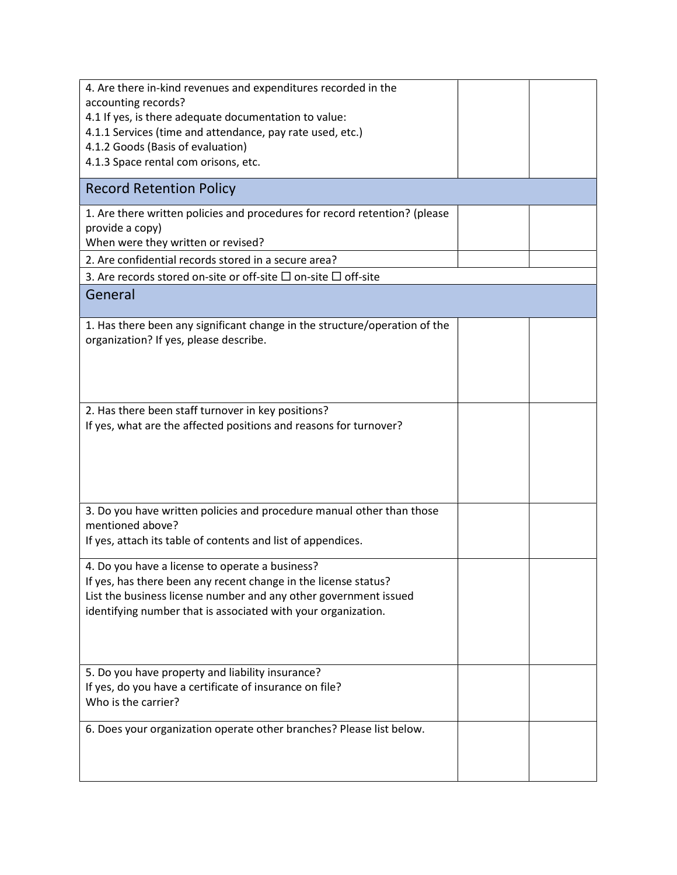| 4. Are there in-kind revenues and expenditures recorded in the                                                     |  |
|--------------------------------------------------------------------------------------------------------------------|--|
| accounting records?                                                                                                |  |
| 4.1 If yes, is there adequate documentation to value:<br>4.1.1 Services (time and attendance, pay rate used, etc.) |  |
| 4.1.2 Goods (Basis of evaluation)                                                                                  |  |
| 4.1.3 Space rental com orisons, etc.                                                                               |  |
|                                                                                                                    |  |
| <b>Record Retention Policy</b>                                                                                     |  |
| 1. Are there written policies and procedures for record retention? (please                                         |  |
| provide a copy)                                                                                                    |  |
| When were they written or revised?                                                                                 |  |
| 2. Are confidential records stored in a secure area?                                                               |  |
| 3. Are records stored on-site or off-site $\Box$ on-site $\Box$ off-site                                           |  |
| General                                                                                                            |  |
| 1. Has there been any significant change in the structure/operation of the                                         |  |
| organization? If yes, please describe.                                                                             |  |
|                                                                                                                    |  |
|                                                                                                                    |  |
|                                                                                                                    |  |
| 2. Has there been staff turnover in key positions?                                                                 |  |
| If yes, what are the affected positions and reasons for turnover?                                                  |  |
|                                                                                                                    |  |
|                                                                                                                    |  |
|                                                                                                                    |  |
|                                                                                                                    |  |
| 3. Do you have written policies and procedure manual other than those                                              |  |
| mentioned above?                                                                                                   |  |
| If yes, attach its table of contents and list of appendices.                                                       |  |
|                                                                                                                    |  |
| 4. Do you have a license to operate a business?                                                                    |  |
| If yes, has there been any recent change in the license status?                                                    |  |
| List the business license number and any other government issued                                                   |  |
| identifying number that is associated with your organization.                                                      |  |
|                                                                                                                    |  |
|                                                                                                                    |  |
| 5. Do you have property and liability insurance?                                                                   |  |
| If yes, do you have a certificate of insurance on file?                                                            |  |
| Who is the carrier?                                                                                                |  |
|                                                                                                                    |  |
| 6. Does your organization operate other branches? Please list below.                                               |  |
|                                                                                                                    |  |
|                                                                                                                    |  |
|                                                                                                                    |  |